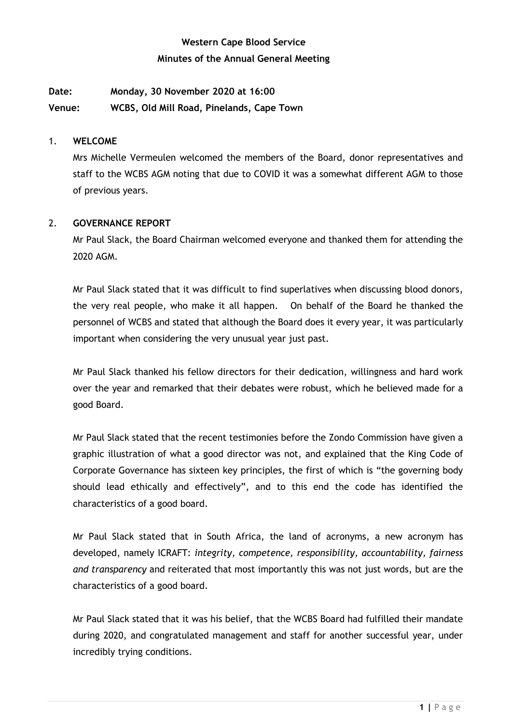# **Western Cape Blood Service Minutes of the Annual General Meeting**

**Date: Monday, 30 November 2020 at 16:00 Venue: WCBS, Old Mill Road, Pinelands, Cape Town**

#### 1. **WELCOME**

Mrs Michelle Vermeulen welcomed the members of the Board, donor representatives and staff to the WCBS AGM noting that due to COVID it was a somewhat different AGM to those of previous years.

#### 2. **GOVERNANCE REPORT**

Mr Paul Slack, the Board Chairman welcomed everyone and thanked them for attending the 2020 AGM.

Mr Paul Slack stated that it was difficult to find superlatives when discussing blood donors, the very real people, who make it all happen. On behalf of the Board he thanked the personnel of WCBS and stated that although the Board does it every year, it was particularly important when considering the very unusual year just past.

Mr Paul Slack thanked his fellow directors for their dedication, willingness and hard work over the year and remarked that their debates were robust, which he believed made for a good Board.

Mr Paul Slack stated that the recent testimonies before the Zondo Commission have given a graphic illustration of what a good director was not, and explained that the King Code of Corporate Governance has sixteen key principles, the first of which is "the governing body should lead ethically and effectively", and to this end the code has identified the characteristics of a good board.

Mr Paul Slack stated that in South Africa, the land of acronyms, a new acronym has developed, namely ICRAFT: *integrity, competence, responsibility, accountability, fairness and transparency* and reiterated that most importantly this was not just words, but are the characteristics of a good board.

Mr Paul Slack stated that it was his belief, that the WCBS Board had fulfilled their mandate during 2020, and congratulated management and staff for another successful year, under incredibly trying conditions.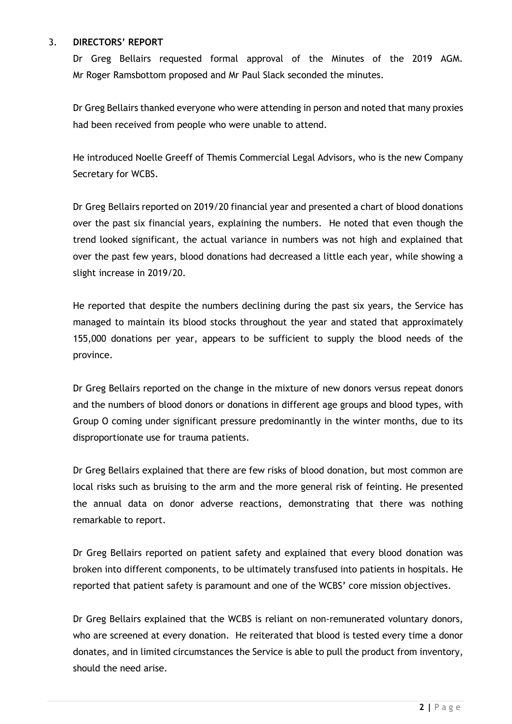#### 3. **DIRECTORS' REPORT**

Dr Greg Bellairs requested formal approval of the Minutes of the 2019 AGM. Mr Roger Ramsbottom proposed and Mr Paul Slack seconded the minutes.

Dr Greg Bellairs thanked everyone who were attending in person and noted that many proxies had been received from people who were unable to attend.

He introduced Noelle Greeff of Themis Commercial Legal Advisors, who is the new Company Secretary for WCBS.

Dr Greg Bellairs reported on 2019/20 financial year and presented a chart of blood donations over the past six financial years, explaining the numbers. He noted that even though the trend looked significant, the actual variance in numbers was not high and explained that over the past few years, blood donations had decreased a little each year, while showing a slight increase in 2019/20.

He reported that despite the numbers declining during the past six years, the Service has managed to maintain its blood stocks throughout the year and stated that approximately 155,000 donations per year, appears to be sufficient to supply the blood needs of the province.

Dr Greg Bellairs reported on the change in the mixture of new donors versus repeat donors and the numbers of blood donors or donations in different age groups and blood types, with Group O coming under significant pressure predominantly in the winter months, due to its disproportionate use for trauma patients.

Dr Greg Bellairs explained that there are few risks of blood donation, but most common are local risks such as bruising to the arm and the more general risk of feinting. He presented the annual data on donor adverse reactions, demonstrating that there was nothing remarkable to report.

Dr Greg Bellairs reported on patient safety and explained that every blood donation was broken into different components, to be ultimately transfused into patients in hospitals. He reported that patient safety is paramount and one of the WCBS' core mission objectives.

Dr Greg Bellairs explained that the WCBS is reliant on non-remunerated voluntary donors, who are screened at every donation. He reiterated that blood is tested every time a donor donates, and in limited circumstances the Service is able to pull the product from inventory, should the need arise.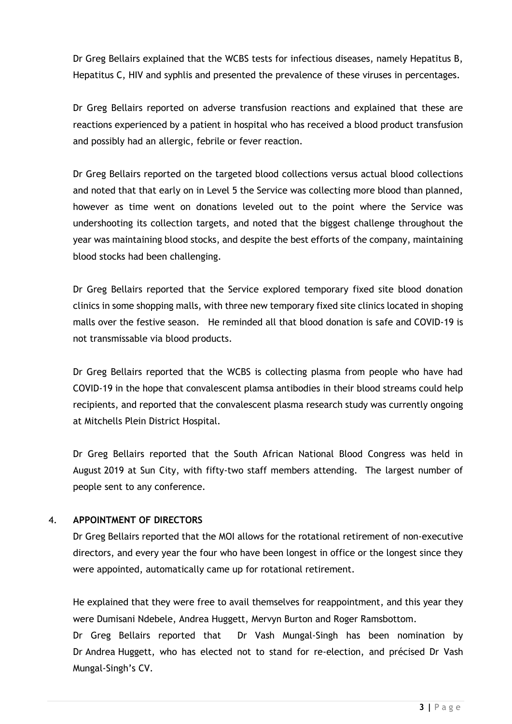Dr Greg Bellairs explained that the WCBS tests for infectious diseases, namely Hepatitus B, Hepatitus C, HIV and syphlis and presented the prevalence of these viruses in percentages.

Dr Greg Bellairs reported on adverse transfusion reactions and explained that these are reactions experienced by a patient in hospital who has received a blood product transfusion and possibly had an allergic, febrile or fever reaction.

Dr Greg Bellairs reported on the targeted blood collections versus actual blood collections and noted that that early on in Level 5 the Service was collecting more blood than planned, however as time went on donations leveled out to the point where the Service was undershooting its collection targets, and noted that the biggest challenge throughout the year was maintaining blood stocks, and despite the best efforts of the company, maintaining blood stocks had been challenging.

Dr Greg Bellairs reported that the Service explored temporary fixed site blood donation clinics in some shopping malls, with three new temporary fixed site clinics located in shoping malls over the festive season. He reminded all that blood donation is safe and COVID-19 is not transmissable via blood products.

Dr Greg Bellairs reported that the WCBS is collecting plasma from people who have had COVID-19 in the hope that convalescent plamsa antibodies in their blood streams could help recipients, and reported that the convalescent plasma research study was currently ongoing at Mitchells Plein District Hospital.

Dr Greg Bellairs reported that the South African National Blood Congress was held in August 2019 at Sun City, with fifty-two staff members attending. The largest number of people sent to any conference.

## 4. **APPOINTMENT OF DIRECTORS**

Dr Greg Bellairs reported that the MOI allows for the rotational retirement of non-executive directors, and every year the four who have been longest in office or the longest since they were appointed, automatically came up for rotational retirement.

He explained that they were free to avail themselves for reappointment, and this year they were Dumisani Ndebele, Andrea Huggett, Mervyn Burton and Roger Ramsbottom.

Dr Greg Bellairs reported that Dr Vash Mungal-Singh has been nomination by Dr Andrea Huggett, who has elected not to stand for re-election, and précised Dr Vash Mungal-Singh's CV.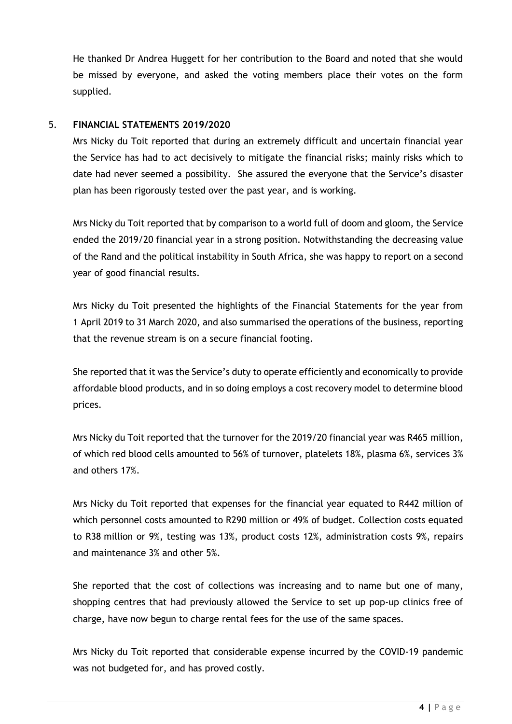He thanked Dr Andrea Huggett for her contribution to the Board and noted that she would be missed by everyone, and asked the voting members place their votes on the form supplied.

#### 5. **FINANCIAL STATEMENTS 2019/2020**

Mrs Nicky du Toit reported that during an extremely difficult and uncertain financial year the Service has had to act decisively to mitigate the financial risks; mainly risks which to date had never seemed a possibility. She assured the everyone that the Service's disaster plan has been rigorously tested over the past year, and is working.

Mrs Nicky du Toit reported that by comparison to a world full of doom and gloom, the Service ended the 2019/20 financial year in a strong position. Notwithstanding the decreasing value of the Rand and the political instability in South Africa, she was happy to report on a second year of good financial results.

Mrs Nicky du Toit presented the highlights of the Financial Statements for the year from 1 April 2019 to 31 March 2020, and also summarised the operations of the business, reporting that the revenue stream is on a secure financial footing.

She reported that it was the Service's duty to operate efficiently and economically to provide affordable blood products, and in so doing employs a cost recovery model to determine blood prices.

Mrs Nicky du Toit reported that the turnover for the 2019/20 financial year was R465 million, of which red blood cells amounted to 56% of turnover, platelets 18%, plasma 6%, services 3% and others 17%.

Mrs Nicky du Toit reported that expenses for the financial year equated to R442 million of which personnel costs amounted to R290 million or 49% of budget. Collection costs equated to R38 million or 9%, testing was 13%, product costs 12%, administration costs 9%, repairs and maintenance 3% and other 5%.

She reported that the cost of collections was increasing and to name but one of many, shopping centres that had previously allowed the Service to set up pop-up clinics free of charge, have now begun to charge rental fees for the use of the same spaces.

Mrs Nicky du Toit reported that considerable expense incurred by the COVID-19 pandemic was not budgeted for, and has proved costly.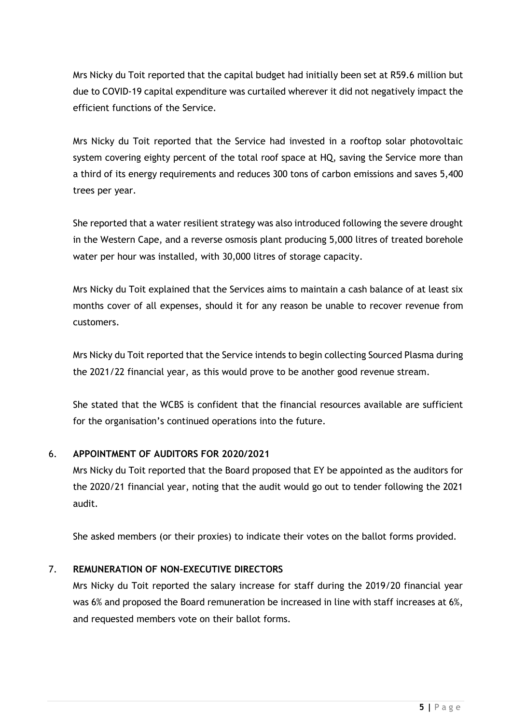Mrs Nicky du Toit reported that the capital budget had initially been set at R59.6 million but due to COVID-19 capital expenditure was curtailed wherever it did not negatively impact the efficient functions of the Service.

Mrs Nicky du Toit reported that the Service had invested in a rooftop solar photovoltaic system covering eighty percent of the total roof space at HQ, saving the Service more than a third of its energy requirements and reduces 300 tons of carbon emissions and saves 5,400 trees per year.

She reported that a water resilient strategy was also introduced following the severe drought in the Western Cape, and a reverse osmosis plant producing 5,000 litres of treated borehole water per hour was installed, with 30,000 litres of storage capacity.

Mrs Nicky du Toit explained that the Services aims to maintain a cash balance of at least six months cover of all expenses, should it for any reason be unable to recover revenue from customers.

Mrs Nicky du Toit reported that the Service intends to begin collecting Sourced Plasma during the 2021/22 financial year, as this would prove to be another good revenue stream.

She stated that the WCBS is confident that the financial resources available are sufficient for the organisation's continued operations into the future.

## 6. **APPOINTMENT OF AUDITORS FOR 2020/2021**

Mrs Nicky du Toit reported that the Board proposed that EY be appointed as the auditors for the 2020/21 financial year, noting that the audit would go out to tender following the 2021 audit.

She asked members (or their proxies) to indicate their votes on the ballot forms provided.

## 7. **REMUNERATION OF NON-EXECUTIVE DIRECTORS**

Mrs Nicky du Toit reported the salary increase for staff during the 2019/20 financial year was 6% and proposed the Board remuneration be increased in line with staff increases at 6%, and requested members vote on their ballot forms.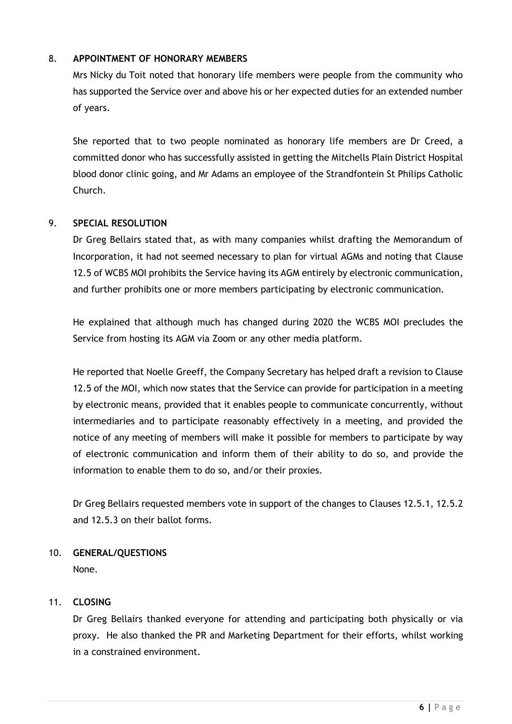# 8. **APPOINTMENT OF HONORARY MEMBERS**

Mrs Nicky du Toit noted that honorary life members were people from the community who has supported the Service over and above his or her expected duties for an extended number of years.

She reported that to two people nominated as honorary life members are Dr Creed, a committed donor who has successfully assisted in getting the Mitchells Plain District Hospital blood donor clinic going, and Mr Adams an employee of the Strandfontein St Philips Catholic Church.

# 9. **SPECIAL RESOLUTION**

Dr Greg Bellairs stated that, as with many companies whilst drafting the Memorandum of Incorporation, it had not seemed necessary to plan for virtual AGMs and noting that Clause 12.5 of WCBS MOI prohibits the Service having its AGM entirely by electronic communication, and further prohibits one or more members participating by electronic communication.

He explained that although much has changed during 2020 the WCBS MOI precludes the Service from hosting its AGM via Zoom or any other media platform.

He reported that Noelle Greeff, the Company Secretary has helped draft a revision to Clause 12.5 of the MOI, which now states that the Service can provide for participation in a meeting by electronic means, provided that it enables people to communicate concurrently, without intermediaries and to participate reasonably effectively in a meeting, and provided the notice of any meeting of members will make it possible for members to participate by way of electronic communication and inform them of their ability to do so, and provide the information to enable them to do so, and/or their proxies.

Dr Greg Bellairs requested members vote in support of the changes to Clauses 12.5.1, 12.5.2 and 12.5.3 on their ballot forms.

## 10. **GENERAL/QUESTIONS**

None.

## 11. **CLOSING**

Dr Greg Bellairs thanked everyone for attending and participating both physically or via proxy. He also thanked the PR and Marketing Department for their efforts, whilst working in a constrained environment.